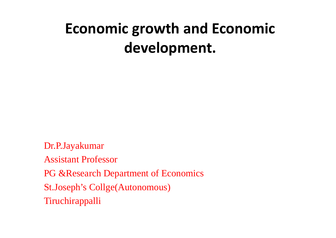## **Economic growth and Economic development.**

Dr.P.Jayakumar Assistant Professor PG & Research Department of Economics St.Joseph's Collge(Autonomous) Tiruchirappalli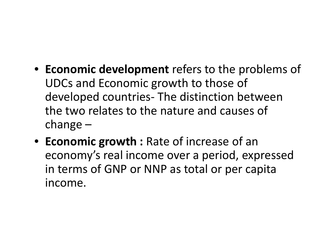- **Economic development** refers to the problems of UDCs and Economic growth to those of developed countries- The distinction between the two relates to the nature and causes of change –
- **Economic growth :** Rate of increase of an economy's real income over a period, expressed in terms of GNP or NNP as total or per capita income.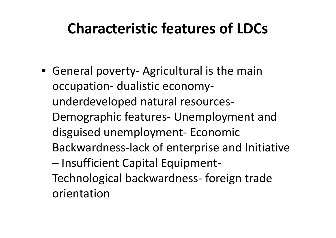#### **Characteristic features of LDCs**

• General poverty- Agricultural is the main occupation- dualistic economy underdeveloped natural resources- Demographic features- Unemployment and disguised unemployment- Economic Backwardness-lack of enterprise and Initiative – Insufficient Capital Equipment- Technological backwardness- foreign trade orientation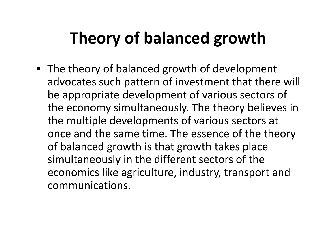# **Theory of balanced growth**

• The theory of balanced growth of development advocates such pattern of investment that there will be appropriate development of various sectors of the economy simultaneously. The theory believes in the multiple developments of various sectors at once and the same time. The essence of the theory of balanced growth is that growth takes place simultaneously in the different sectors of the economics like agriculture, industry, transport and communications.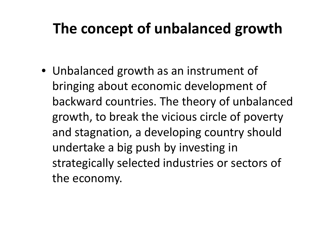### **The concept of unbalanced growth**

• Unbalanced growth as an instrument of bringing about economic development of backward countries. The theory of unbalanced growth, to break the vicious circle of poverty and stagnation, a developing country should undertake a big push by investing in strategically selected industries or sectors of the economy.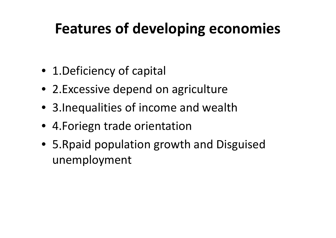#### **Features of developing economies**

- 1. Deficiency of capital
- 2. Excessive depend on agriculture
- 3.Inequalities of income and wealth
- 4.Foriegn trade orientation
- 5.Rpaid population growth and Disguised unemployment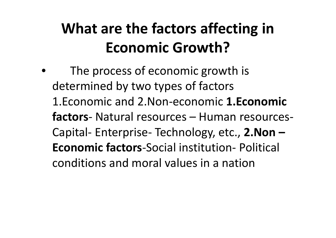# **What are the factors affecting in Economic Growth?**

The process of economic growth is determined by two types of factors 1.Economic and 2.Non-economic **1.Economic factors**- Natural resources – Human resources- Capital- Enterprise- Technology, etc., **2.Non – Economic factors**-Social institution- Political conditions and moral values in a nation